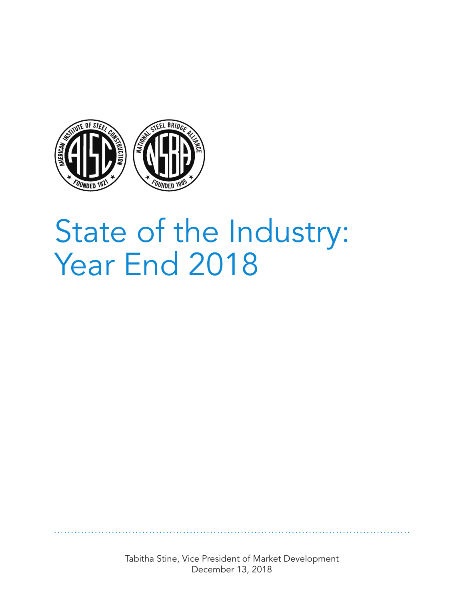

## State of the Industry: Year End 2018

Tabitha Stine, Vice President of Market Development December 13, 2018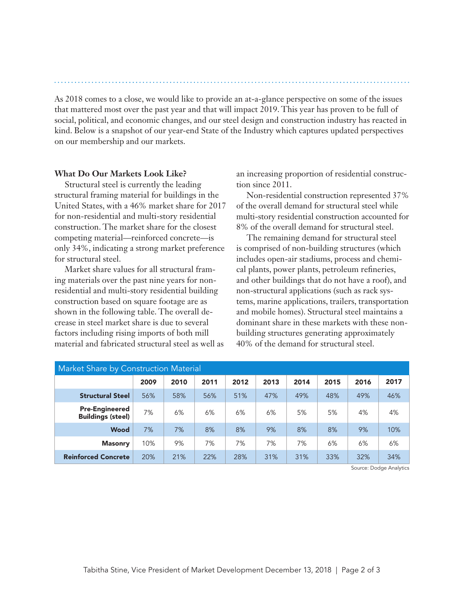As 2018 comes to a close, we would like to provide an at-a-glance perspective on some of the issues that mattered most over the past year and that will impact 2019. This year has proven to be full of social, political, and economic changes, and our steel design and construction industry has reacted in kind. Below is a snapshot of our year-end State of the Industry which captures updated perspectives on our membership and our markets.

## **What Do Our Markets Look Like?**

Structural steel is currently the leading structural framing material for buildings in the United States, with a 46% market share for 2017 for non-residential and multi-story residential construction. The market share for the closest competing material—reinforced concrete—is only 34%, indicating a strong market preference for structural steel.

Market share values for all structural framing materials over the past nine years for nonresidential and multi-story residential building construction based on square footage are as shown in the following table. The overall decrease in steel market share is due to several factors including rising imports of both mill material and fabricated structural steel as well as an increasing proportion of residential construction since 2011.

Non-residential construction represented 37% of the overall demand for structural steel while multi-story residential construction accounted for 8% of the overall demand for structural steel.

The remaining demand for structural steel is comprised of non-building structures (which includes open-air stadiums, process and chemical plants, power plants, petroleum refineries, and other buildings that do not have a roof), and non-structural applications (such as rack systems, marine applications, trailers, transportation and mobile homes). Structural steel maintains a dominant share in these markets with these nonbuilding structures generating approximately 40% of the demand for structural steel.

| Market Share by Construction Material             |      |      |      |      |      |      |      |      |      |
|---------------------------------------------------|------|------|------|------|------|------|------|------|------|
|                                                   | 2009 | 2010 | 2011 | 2012 | 2013 | 2014 | 2015 | 2016 | 2017 |
| <b>Structural Steel</b>                           | 56%  | 58%  | 56%  | 51%  | 47%  | 49%  | 48%  | 49%  | 46%  |
| <b>Pre-Engineered</b><br><b>Buildings (steel)</b> | 7%   | 6%   | 6%   | 6%   | 6%   | 5%   | 5%   | 4%   | 4%   |
| <b>Wood</b>                                       | 7%   | 7%   | 8%   | 8%   | 9%   | 8%   | 8%   | 9%   | 10%  |
| <b>Masonry</b>                                    | 10%  | 9%   | 7%   | 7%   | 7%   | 7%   | 6%   | 6%   | 6%   |
| <b>Reinforced Concrete</b>                        | 20%  | 21%  | 22%  | 28%  | 31%  | 31%  | 33%  | 32%  | 34%  |

Source: Dodge Analytics